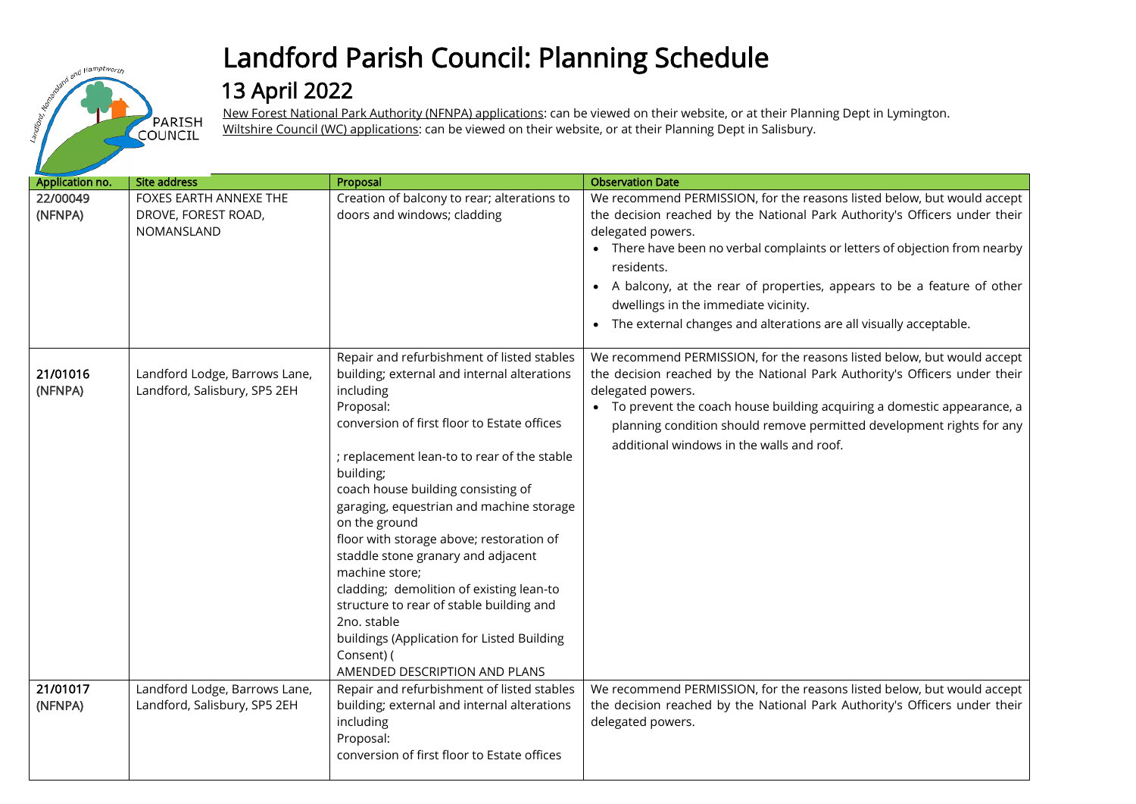

## Landford Parish Council: Planning Schedule

## 13 April 2022

New Forest National Park Authority (NFNPA) applications: can be viewed on their website, or at their Planning Dept in Lymington. Wiltshire Council (WC) applications: can be viewed on their website, or at their Planning Dept in Salisbury.

| Application no.     | <b>Site address</b>                                           | Proposal                                                                                                                                                                                                                                                                                                                                                                                                                                                                                                                                                                                                                                  | <b>Observation Date</b>                                                                                                                                                                                                                                                                                                                                                                                                                                           |
|---------------------|---------------------------------------------------------------|-------------------------------------------------------------------------------------------------------------------------------------------------------------------------------------------------------------------------------------------------------------------------------------------------------------------------------------------------------------------------------------------------------------------------------------------------------------------------------------------------------------------------------------------------------------------------------------------------------------------------------------------|-------------------------------------------------------------------------------------------------------------------------------------------------------------------------------------------------------------------------------------------------------------------------------------------------------------------------------------------------------------------------------------------------------------------------------------------------------------------|
| 22/00049<br>(NFNPA) | FOXES EARTH ANNEXE THE<br>DROVE, FOREST ROAD,<br>NOMANSLAND   | Creation of balcony to rear; alterations to<br>doors and windows; cladding                                                                                                                                                                                                                                                                                                                                                                                                                                                                                                                                                                | We recommend PERMISSION, for the reasons listed below, but would accept<br>the decision reached by the National Park Authority's Officers under their<br>delegated powers.<br>• There have been no verbal complaints or letters of objection from nearby<br>residents.<br>• A balcony, at the rear of properties, appears to be a feature of other<br>dwellings in the immediate vicinity.<br>• The external changes and alterations are all visually acceptable. |
| 21/01016<br>(NFNPA) | Landford Lodge, Barrows Lane,<br>Landford, Salisbury, SP5 2EH | Repair and refurbishment of listed stables<br>building; external and internal alterations<br>including<br>Proposal:<br>conversion of first floor to Estate offices<br>; replacement lean-to to rear of the stable<br>building;<br>coach house building consisting of<br>garaging, equestrian and machine storage<br>on the ground<br>floor with storage above; restoration of<br>staddle stone granary and adjacent<br>machine store;<br>cladding; demolition of existing lean-to<br>structure to rear of stable building and<br>2no. stable<br>buildings (Application for Listed Building<br>Consent) (<br>AMENDED DESCRIPTION AND PLANS | We recommend PERMISSION, for the reasons listed below, but would accept<br>the decision reached by the National Park Authority's Officers under their<br>delegated powers.<br>• To prevent the coach house building acquiring a domestic appearance, a<br>planning condition should remove permitted development rights for any<br>additional windows in the walls and roof.                                                                                      |
| 21/01017<br>(NFNPA) | Landford Lodge, Barrows Lane,<br>Landford, Salisbury, SP5 2EH | Repair and refurbishment of listed stables<br>building; external and internal alterations<br>including<br>Proposal:<br>conversion of first floor to Estate offices                                                                                                                                                                                                                                                                                                                                                                                                                                                                        | We recommend PERMISSION, for the reasons listed below, but would accept<br>the decision reached by the National Park Authority's Officers under their<br>delegated powers.                                                                                                                                                                                                                                                                                        |